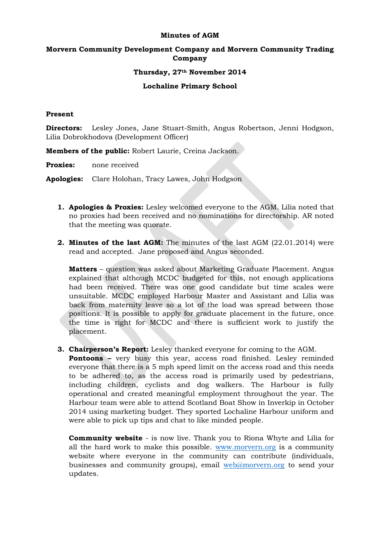#### **Minutes of AGM**

# **Morvern Community Development Company and Morvern Community Trading Company**

### **Thursday, 27th November 2014**

## **Lochaline Primary School**

### **Present**

**Directors:** Lesley Jones, Jane Stuart-Smith, Angus Robertson, Jenni Hodgson, Lilia Dobrokhodova (Development Officer)

**Members of the public:** Robert Laurie, Creina Jackson.

**Proxies:** none received

**Apologies:** Clare Holohan, Tracy Lawes, John Hodgson

- **1. Apologies & Proxies:** Lesley welcomed everyone to the AGM. Lilia noted that no proxies had been received and no nominations for directorship. AR noted that the meeting was quorate.
- **2. Minutes of the last AGM:** The minutes of the last AGM (22.01.2014) were read and accepted. Jane proposed and Angus seconded.

**Matters** – question was asked about Marketing Graduate Placement. Angus explained that although MCDC budgeted for this, not enough applications had been received. There was one good candidate but time scales were unsuitable. MCDC employed Harbour Master and Assistant and Lilia was back from maternity leave so a lot of the load was spread between those positions. It is possible to apply for graduate placement in the future, once the time is right for MCDC and there is sufficient work to justify the placement.

**3. Chairperson's Report:** Lesley thanked everyone for coming to the AGM.

**Pontoons –** very busy this year, access road finished. Lesley reminded everyone that there is a 5 mph speed limit on the access road and this needs to be adhered to, as the access road is primarily used by pedestrians, including children, cyclists and dog walkers. The Harbour is fully operational and created meaningful employment throughout the year. The Harbour team were able to attend Scotland Boat Show in Inverkip in October 2014 using marketing budget. They sported Lochaline Harbour uniform and were able to pick up tips and chat to like minded people.

**Community website** - is now live. Thank you to Riona Whyte and Lilia for all the hard work to make this possible. [www.morvern.org](http://www.morvern.org/) is a community website where everyone in the community can contribute (individuals, businesses and community groups), email [web@morvern.org](mailto:web@morvern.org) to send your updates.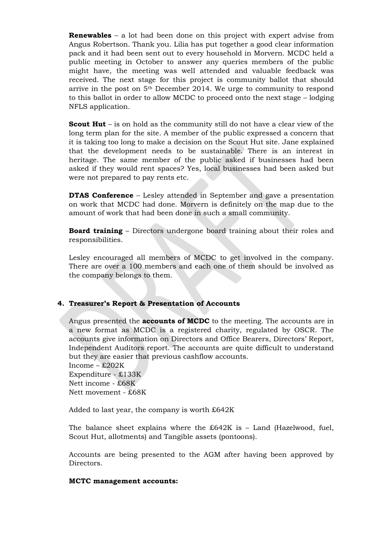**Renewables** – a lot had been done on this project with expert advise from Angus Robertson. Thank you. Lilia has put together a good clear information pack and it had been sent out to every household in Morvern. MCDC held a public meeting in October to answer any queries members of the public might have, the meeting was well attended and valuable feedback was received. The next stage for this project is community ballot that should arrive in the post on 5th December 2014. We urge to community to respond to this ballot in order to allow MCDC to proceed onto the next stage – lodging NFLS application.

**Scout Hut** – is on hold as the community still do not have a clear view of the long term plan for the site. A member of the public expressed a concern that it is taking too long to make a decision on the Scout Hut site. Jane explained that the development needs to be sustainable. There is an interest in heritage. The same member of the public asked if businesses had been asked if they would rent spaces? Yes, local businesses had been asked but were not prepared to pay rents etc.

**DTAS Conference** – Lesley attended in September and gave a presentation on work that MCDC had done. Morvern is definitely on the map due to the amount of work that had been done in such a small community.

**Board training** – Directors undergone board training about their roles and responsibilities.

Lesley encouraged all members of MCDC to get involved in the company. There are over a 100 members and each one of them should be involved as the company belongs to them.

### **4. Treasurer's Report & Presentation of Accounts**

Angus presented the **accounts of MCDC** to the meeting. The accounts are in a new format as MCDC is a registered charity, regulated by OSCR. The accounts give information on Directors and Office Bearers, Directors' Report, Independent Auditors report. The accounts are quite difficult to understand but they are easier that previous cashflow accounts.

Income – £202K Expenditure - £133K Nett income - £68K Nett movement - £68K

Added to last year, the company is worth £642K

The balance sheet explains where the  $£642K$  is - Land (Hazelwood, fuel, Scout Hut, allotments) and Tangible assets (pontoons).

Accounts are being presented to the AGM after having been approved by Directors.

#### **MCTC management accounts:**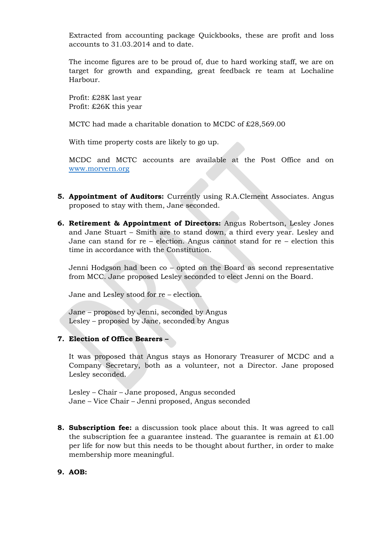Extracted from accounting package Quickbooks, these are profit and loss accounts to 31.03.2014 and to date.

The income figures are to be proud of, due to hard working staff, we are on target for growth and expanding, great feedback re team at Lochaline Harbour.

Profit: £28K last year Profit: £26K this year

MCTC had made a charitable donation to MCDC of £28,569.00

With time property costs are likely to go up.

MCDC and MCTC accounts are available at the Post Office and on [www.morvern.org](http://www.morvern.org/)

- **5. Appointment of Auditors:** Currently using R.A.Clement Associates. Angus proposed to stay with them, Jane seconded.
- **6. Retirement & Appointment of Directors:** Angus Robertson, Lesley Jones and Jane Stuart – Smith are to stand down, a third every year. Lesley and Jane can stand for re – election. Angus cannot stand for re – election this time in accordance with the Constitution.

Jenni Hodgson had been co – opted on the Board as second representative from MCC. Jane proposed Lesley seconded to elect Jenni on the Board.

Jane and Lesley stood for re – election.

Jane – proposed by Jenni, seconded by Angus Lesley – proposed by Jane, seconded by Angus

### **7. Election of Office Bearers –**

It was proposed that Angus stays as Honorary Treasurer of MCDC and a Company Secretary, both as a volunteer, not a Director. Jane proposed Lesley seconded.

Lesley – Chair – Jane proposed, Angus seconded Jane – Vice Chair – Jenni proposed, Angus seconded

**8. Subscription fee:** a discussion took place about this. It was agreed to call the subscription fee a guarantee instead. The guarantee is remain at  $\text{\pounds}1.00$ per life for now but this needs to be thought about further, in order to make membership more meaningful.

#### **9. AOB:**